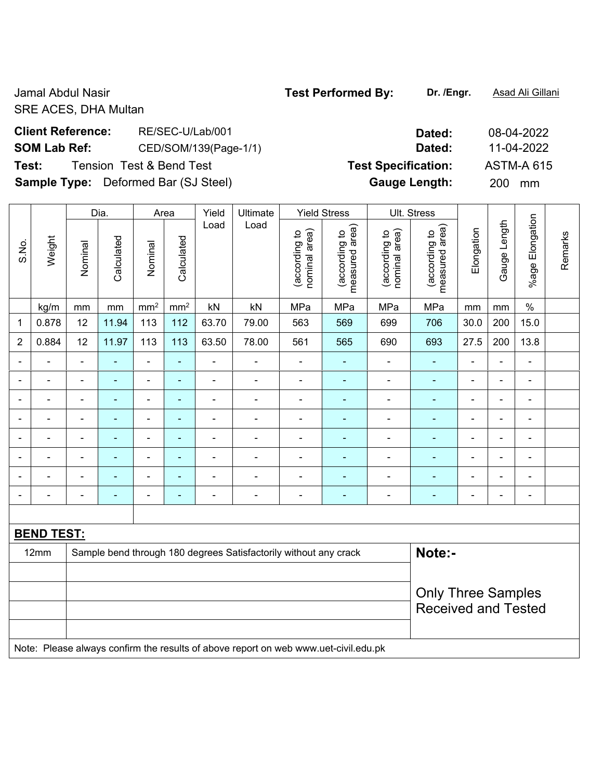Jamal Abdul Nasir **Test Performed By: Dr. /Engr.** Asad Ali Gillani SRE ACES, DHA Multan

# **Client Reference:** RE/SEC-U/Lab/001 **Dated:** 08-04-2022 **SOM Lab Ref:** CED/SOM/139(Page-1/1) **Dated:** 11-04-2022 **Test:** Tension Test & Bend Test **Test Specification:** ASTM-A 615

**Sample Type:** Deformed Bar (SJ Steel) **Gauge Length:** 200 mm

|                          |                   |                | Dia.           |                 | Area            | Yield | Ultimate                                                                            | <b>Yield Stress</b>            |                                 | Ult. Stress                    |                                 |                |                |                          |         |
|--------------------------|-------------------|----------------|----------------|-----------------|-----------------|-------|-------------------------------------------------------------------------------------|--------------------------------|---------------------------------|--------------------------------|---------------------------------|----------------|----------------|--------------------------|---------|
| S.No.                    | Weight            | Nominal        | Calculated     | Nominal         | Calculated      | Load  | Load                                                                                | nominal area)<br>(according to | measured area)<br>(according to | nominal area)<br>(according to | measured area)<br>(according to | Elongation     | Gauge Length   | %age Elongation          | Remarks |
|                          | kg/m              | mm             | mm             | mm <sup>2</sup> | mm <sup>2</sup> | kN    | kN                                                                                  | MPa                            | MPa                             | MPa                            | MPa                             | mm             | mm             | $\%$                     |         |
| $\mathbf{1}$             | 0.878             | 12             | 11.94          | 113             | 112             | 63.70 | 79.00                                                                               | 563                            | 569                             | 699                            | 706                             | 30.0           | 200            | 15.0                     |         |
| $\overline{2}$           | 0.884             | 12             | 11.97          | 113             | 113             | 63.50 | 78.00                                                                               | 561                            | 565                             | 690                            | 693                             | 27.5           | 200            | 13.8                     |         |
|                          |                   |                |                | $\blacksquare$  | ÷.              |       |                                                                                     | $\blacksquare$                 |                                 |                                | $\blacksquare$                  |                |                | $\blacksquare$           |         |
|                          |                   | $\blacksquare$ |                | $\blacksquare$  | $\blacksquare$  | ÷     | $\blacksquare$                                                                      | $\blacksquare$                 | ÷,                              | $\blacksquare$                 | $\blacksquare$                  | L.             | L,             | ÷                        |         |
| $\overline{a}$           | $\blacksquare$    | $\blacksquare$ | $\blacksquare$ | $\blacksquare$  | $\blacksquare$  | ä,    | $\blacksquare$                                                                      |                                | ä,                              | $\blacksquare$                 | $\blacksquare$                  | $\blacksquare$ | $\blacksquare$ | ÷                        |         |
| $\overline{a}$           | $\blacksquare$    | $\blacksquare$ | ä,             | $\blacksquare$  | ÷,              | ÷     | $\blacksquare$                                                                      | $\blacksquare$                 | ÷,                              | $\frac{1}{2}$                  | $\blacksquare$                  | $\blacksquare$ | ä,             | $\overline{\phantom{a}}$ |         |
| $\blacksquare$           | $\blacksquare$    | $\blacksquare$ | $\blacksquare$ | $\blacksquare$  | ÷,              | ÷.    | $\blacksquare$                                                                      | $\blacksquare$                 | ä,                              | $\blacksquare$                 | $\blacksquare$                  | $\blacksquare$ | ä,             | $\blacksquare$           |         |
| $\overline{\phantom{a}}$ | $\blacksquare$    | $\blacksquare$ | $\blacksquare$ | $\blacksquare$  | $\blacksquare$  | ÷.    | $\blacksquare$                                                                      | ä,                             | ÷,                              | $\blacksquare$                 | $\blacksquare$                  | $\blacksquare$ | $\blacksquare$ | $\blacksquare$           |         |
| $\blacksquare$           | $\blacksquare$    | $\blacksquare$ | ä,             | $\blacksquare$  | $\blacksquare$  | ä,    | $\blacksquare$                                                                      | $\overline{\phantom{a}}$       | ÷,                              | ÷,                             | $\blacksquare$                  | ä,             | L.             | ä,                       |         |
|                          |                   | $\blacksquare$ | ÷              | $\blacksquare$  | ä,              | Ē,    | L,                                                                                  | $\blacksquare$                 | ÷                               | ÷                              | $\blacksquare$                  | ÷,             | L,             | $\overline{\phantom{a}}$ |         |
|                          |                   |                |                |                 |                 |       |                                                                                     |                                |                                 |                                |                                 |                |                |                          |         |
|                          | <b>BEND TEST:</b> |                |                |                 |                 |       |                                                                                     |                                |                                 |                                |                                 |                |                |                          |         |
|                          | 12mm              |                |                |                 |                 |       | Sample bend through 180 degrees Satisfactorily without any crack                    |                                |                                 |                                | Note:-                          |                |                |                          |         |
|                          |                   |                |                |                 |                 |       |                                                                                     |                                |                                 |                                |                                 |                |                |                          |         |
|                          |                   |                |                |                 |                 |       |                                                                                     |                                |                                 |                                | <b>Only Three Samples</b>       |                |                |                          |         |
|                          |                   |                |                |                 |                 |       |                                                                                     |                                |                                 |                                | <b>Received and Tested</b>      |                |                |                          |         |
|                          |                   |                |                |                 |                 |       |                                                                                     |                                |                                 |                                |                                 |                |                |                          |         |
|                          |                   |                |                |                 |                 |       | Note: Please always confirm the results of above report on web www.uet-civil.edu.pk |                                |                                 |                                |                                 |                |                |                          |         |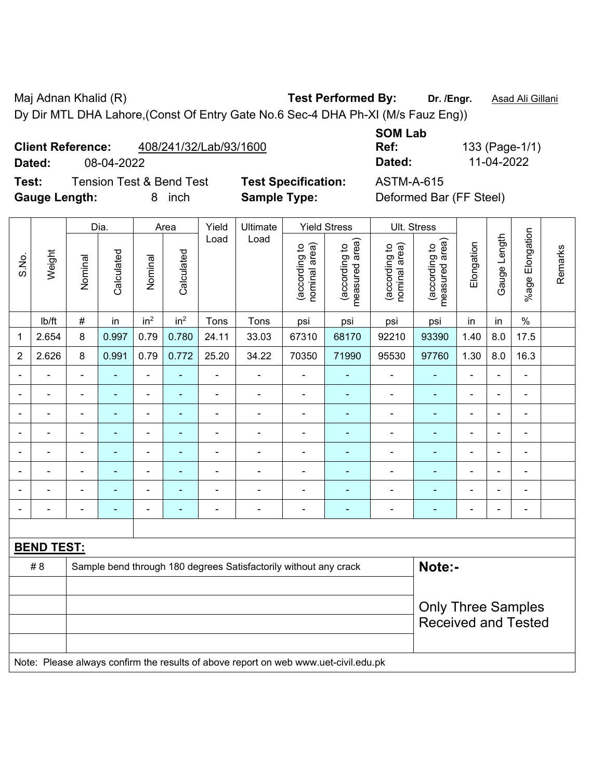Maj Adnan Khalid (R) **Test Performed By:** Dr. /Engr. **Asad Ali Gillani** Associates Associates Associates Ali Gillani Dy Dir MTL DHA Lahore,(Const Of Entry Gate No.6 Sec-4 DHA Ph-XI (M/s Fauz Eng))

**Client Reference:** 408/241/32/Lab/93/1600

 $\overline{\phantom{a}}$ 

**Test:** Tension Test & Bend Test **Test Specification:** ASTM-A-615 **Gauge Length:** 8 inch **Sample Type:** Deformed Bar (FF Steel)

 $\overline{\phantom{a}}$ 

 $\overline{\phantom{a}}$ 

**SOM Lab Ref:** 133 (Page-1/1) **Dated:** 08-04-2022 **Dated:** 11-04-2022

 $\overline{\phantom{a}}$  $\overline{\phantom{a}}$   $\overline{\phantom{a}}$ 

|                |                   |                          | Dia.           |                 | Area            | Yield          | Ultimate                                                                            |                                | <b>Yield Stress</b>             | Ult. Stress                    |                                 |                |                |                          |         |
|----------------|-------------------|--------------------------|----------------|-----------------|-----------------|----------------|-------------------------------------------------------------------------------------|--------------------------------|---------------------------------|--------------------------------|---------------------------------|----------------|----------------|--------------------------|---------|
| S.No.          | Weight            | Nominal                  | Calculated     | Nominal         | Calculated      | Load           | Load                                                                                | (according to<br>nominal area) | (according to<br>measured area) | nominal area)<br>(according to | measured area)<br>(according to | Elongation     | Gauge Length   | %age Elongation          | Remarks |
|                | lb/ft             | $\#$                     | in             | in <sup>2</sup> | in <sup>2</sup> | Tons           | Tons                                                                                | psi                            | psi                             | psi                            | psi                             | in             | in             | $\%$                     |         |
| 1              | 2.654             | 8                        | 0.997          | 0.79            | 0.780           | 24.11          | 33.03                                                                               | 67310                          | 68170                           | 92210                          | 93390                           | 1.40           | 8.0            | 17.5                     |         |
| $\overline{2}$ | 2.626             | 8                        | 0.991          | 0.79            | 0.772           | 25.20          | 34.22                                                                               | 70350                          | 71990                           | 95530                          | 97760                           | 1.30           | 8.0            | 16.3                     |         |
|                |                   | Ξ.                       | $\blacksquare$ | ÷,              | ٠               | ÷              | ä,                                                                                  | ä,                             | $\blacksquare$                  | $\blacksquare$                 | $\blacksquare$                  | $\blacksquare$ | ä,             | $\blacksquare$           |         |
|                | $\blacksquare$    | $\blacksquare$           | $\blacksquare$ | $\blacksquare$  | $\blacksquare$  | ÷              | ÷                                                                                   | $\overline{\phantom{a}}$       | $\blacksquare$                  | $\overline{\phantom{a}}$       | $\blacksquare$                  | $\blacksquare$ | $\blacksquare$ | $\overline{\phantom{a}}$ |         |
|                | $\blacksquare$    | $\blacksquare$           | $\blacksquare$ | ÷,              | ۰               | ÷              | $\blacksquare$                                                                      | $\blacksquare$                 | $\blacksquare$                  | $\blacksquare$                 | $\blacksquare$                  | $\blacksquare$ | ٠              | $\blacksquare$           |         |
|                |                   |                          | $\blacksquare$ | ä,              |                 |                |                                                                                     | L,                             | ä,                              | $\blacksquare$                 | ÷,                              |                |                | $\blacksquare$           |         |
|                |                   |                          |                | ÷               |                 |                |                                                                                     |                                |                                 |                                |                                 |                |                | ٠                        |         |
|                |                   | $\overline{\phantom{0}}$ | ۰              | ۰               | ۰               | $\blacksquare$ | $\blacksquare$                                                                      |                                | ÷                               | $\overline{\phantom{0}}$       | -                               | $\blacksquare$ | ٠              | $\blacksquare$           |         |
|                |                   | $\blacksquare$           | $\blacksquare$ | ÷,              | ۰               | $\blacksquare$ | ÷                                                                                   | $\blacksquare$                 | $\blacksquare$                  | $\blacksquare$                 | ۰                               | $\blacksquare$ | $\blacksquare$ | $\blacksquare$           |         |
|                | $\blacksquare$    |                          | $\blacksquare$ | $\blacksquare$  | ÷               | -              | $\blacksquare$                                                                      |                                | ÷                               | $\blacksquare$                 | $\blacksquare$                  | $\blacksquare$ |                | $\blacksquare$           |         |
|                |                   |                          |                |                 |                 |                |                                                                                     |                                |                                 |                                |                                 |                |                |                          |         |
|                | <b>BEND TEST:</b> |                          |                |                 |                 |                |                                                                                     |                                |                                 |                                |                                 |                |                |                          |         |
|                | #8                |                          |                |                 |                 |                | Sample bend through 180 degrees Satisfactorily without any crack                    |                                |                                 |                                | Note:-                          |                |                |                          |         |
|                |                   |                          |                |                 |                 |                |                                                                                     |                                |                                 |                                |                                 |                |                |                          |         |
|                |                   |                          |                |                 |                 |                |                                                                                     |                                |                                 |                                | <b>Only Three Samples</b>       |                |                |                          |         |
|                |                   |                          |                |                 |                 |                |                                                                                     |                                |                                 |                                | <b>Received and Tested</b>      |                |                |                          |         |
|                |                   |                          |                |                 |                 |                |                                                                                     |                                |                                 |                                |                                 |                |                |                          |         |
|                |                   |                          |                |                 |                 |                | Note: Please always confirm the results of above report on web www.uet-civil.edu.pk |                                |                                 |                                |                                 |                |                |                          |         |

 $\overline{\phantom{a}}$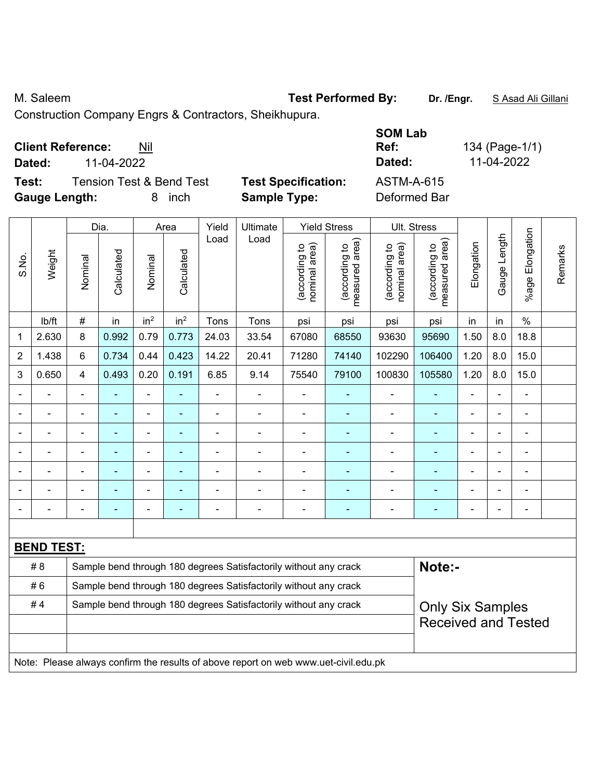M. Saleem **Test Performed By:** Dr. /Engr. **SAsad Ali Gillani** By: Dr. /Engr. **SAsad Ali Gillani** 

Construction Company Engrs & Contractors, Sheikhupura.

| <b>Client Reference:</b> | Nil |
|--------------------------|-----|
|--------------------------|-----|

**Test:** Tension Test & Bend Test **Test Specification:** ASTM-A-615 **Gauge Length:** 8 inch **Sample Type:** Deformed Bar

**SOM Lab Ref:** 134 (Page-1/1) **Dated:** 11-04-2022 **Dated:** 11-04-2022

|                |                   |                | Dia.                     |                 | Area            | Yield                    | Ultimate<br><b>Yield Stress</b><br>Load                                             |                                |                                 |                                | Ult. Stress                     |                |              |                              |         |
|----------------|-------------------|----------------|--------------------------|-----------------|-----------------|--------------------------|-------------------------------------------------------------------------------------|--------------------------------|---------------------------------|--------------------------------|---------------------------------|----------------|--------------|------------------------------|---------|
| S.No.          | Weight            | Nominal        | Calculated               | Nominal         | Calculated      | Load                     |                                                                                     | nominal area)<br>(according to | measured area)<br>(according to | (according to<br>nominal area) | (according to<br>measured area) | Elongation     | Gauge Length | Elongation<br>$%$ age        | Remarks |
|                | lb/ft             | #              | in                       | in <sup>2</sup> | in <sup>2</sup> | Tons                     | Tons                                                                                | psi                            | psi                             | psi                            | psi                             | in             | in           | $\%$                         |         |
| 1              | 2.630             | 8              | 0.992                    | 0.79            | 0.773           | 24.03                    | 33.54                                                                               | 67080                          | 68550                           | 93630                          | 95690                           | 1.50           | 8.0          | 18.8                         |         |
| $\overline{2}$ | 1.438             | 6              | 0.734                    | 0.44            | 0.423           | 14.22                    | 20.41                                                                               | 71280                          | 74140                           | 102290                         | 106400                          | 1.20           | 8.0          | 15.0                         |         |
| 3              | 0.650             | 4              | 0.493                    | 0.20            | 0.191           | 6.85                     | 9.14                                                                                | 75540                          | 79100                           | 100830                         | 105580                          | 1.20           | 8.0          | 15.0                         |         |
|                |                   |                |                          |                 |                 |                          | $\blacksquare$                                                                      |                                |                                 |                                |                                 |                |              | $\blacksquare$               |         |
| Ē,             |                   |                | $\blacksquare$           | ÷               | ٠               | $\blacksquare$           | $\blacksquare$                                                                      | $\blacksquare$                 | $\blacksquare$                  | $\blacksquare$                 | ä,                              | $\blacksquare$ |              | ÷                            |         |
|                | $\overline{a}$    | $\blacksquare$ | $\blacksquare$           | $\blacksquare$  | $\blacksquare$  | ÷                        | ÷                                                                                   | $\blacksquare$                 | $\blacksquare$                  | $\overline{\phantom{a}}$       | $\blacksquare$                  |                |              | $\blacksquare$               |         |
|                | $\blacksquare$    | $\blacksquare$ | ä,                       | $\blacksquare$  | $\blacksquare$  | $\blacksquare$           | ä,                                                                                  | $\blacksquare$                 | ۰                               | $\blacksquare$                 | $\blacksquare$                  | $\blacksquare$ |              | $\blacksquare$               |         |
|                |                   |                |                          |                 |                 | $\overline{\phantom{a}}$ | ÷                                                                                   | $\blacksquare$                 |                                 | $\blacksquare$                 | $\overline{a}$                  | $\blacksquare$ |              | $\overline{a}$               |         |
|                |                   |                |                          |                 |                 |                          |                                                                                     |                                |                                 |                                |                                 |                |              |                              |         |
| $\blacksquare$ |                   |                | $\overline{\phantom{0}}$ | ÷               |                 |                          | ÷                                                                                   | $\blacksquare$                 | $\blacksquare$                  | $\blacksquare$                 | $\blacksquare$                  | $\blacksquare$ |              | $\qquad \qquad \blacksquare$ |         |
|                |                   |                |                          |                 |                 |                          |                                                                                     |                                |                                 |                                |                                 |                |              |                              |         |
|                | <b>BEND TEST:</b> |                |                          |                 |                 |                          |                                                                                     |                                |                                 |                                |                                 |                |              |                              |         |
|                | # 8               |                |                          |                 |                 |                          | Sample bend through 180 degrees Satisfactorily without any crack                    |                                |                                 |                                | Note:-                          |                |              |                              |         |
|                | #6                |                |                          |                 |                 |                          | Sample bend through 180 degrees Satisfactorily without any crack                    |                                |                                 |                                |                                 |                |              |                              |         |
|                | #4                |                |                          |                 |                 |                          | Sample bend through 180 degrees Satisfactorily without any crack                    |                                |                                 |                                | <b>Only Six Samples</b>         |                |              |                              |         |
|                |                   |                |                          |                 |                 |                          |                                                                                     |                                |                                 |                                | <b>Received and Tested</b>      |                |              |                              |         |
|                |                   |                |                          |                 |                 |                          |                                                                                     |                                |                                 |                                |                                 |                |              |                              |         |
|                |                   |                |                          |                 |                 |                          | Note: Please always confirm the results of above report on web www.uet-civil.edu.pk |                                |                                 |                                |                                 |                |              |                              |         |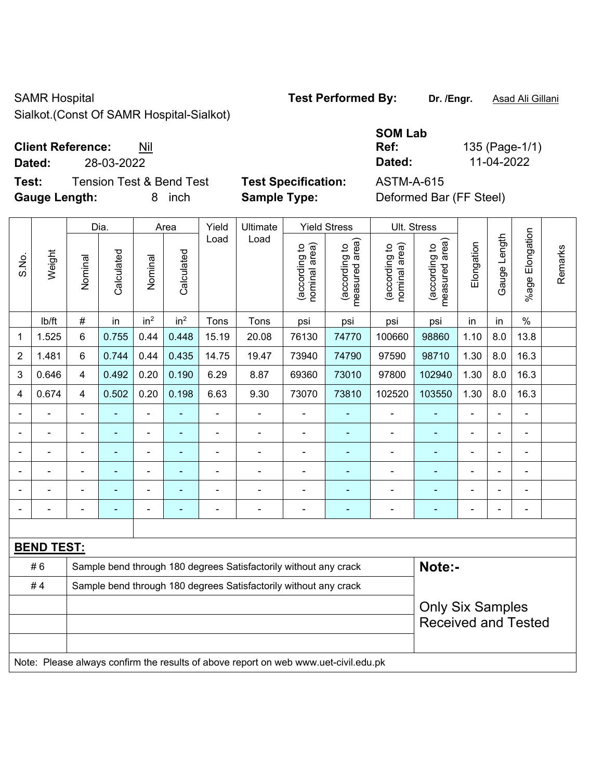# SAMR Hospital **Test Performed By:** Dr. /Engr. **Asad Ali Gillani** CAMR Hospital

Sialkot.(Const Of SAMR Hospital-Sialkot)

### **Client Reference:** Nil

**Test:** Tension Test & Bend Test **Test Specification:** ASTM-A-615 **Gauge Length:** 8 inch **Sample Type:** Deformed Bar (FF Steel)

|                          |                                 |                       | <b>SOM Lab</b>    |                |
|--------------------------|---------------------------------|-----------------------|-------------------|----------------|
|                          | <b>Client Reference:</b><br>Nil |                       | Ref:              | 135 (Page-1/1) |
| Dated:                   | 28-03-2022                      |                       | Dated:            | 11-04-2022     |
| <b>The Second Second</b> | T TIOPITI                       | _____________________ | * ^ T * * * ^ * F |                |

|                |                   | Dia.<br><b>Yield Stress</b><br>Yield<br>Ultimate<br>Area<br>Load<br>Load   |            |                              |                 |                |                                                                                     |                                |                                 | Ult. Stress                    |                                 |                |                |                         |         |
|----------------|-------------------|----------------------------------------------------------------------------|------------|------------------------------|-----------------|----------------|-------------------------------------------------------------------------------------|--------------------------------|---------------------------------|--------------------------------|---------------------------------|----------------|----------------|-------------------------|---------|
| S.No.          | Weight            | Nominal                                                                    | Calculated | Nominal                      | Calculated      |                |                                                                                     | nominal area)<br>(according to | (according to<br>measured area) | (according to<br>nominal area) | measured area)<br>(according to | Elongation     | Gauge Length   | Elongation<br>$%$ age I | Remarks |
|                | Ib/ft             | $\#$                                                                       | in         | in <sup>2</sup>              | in <sup>2</sup> | Tons           | Tons                                                                                | psi                            | psi                             | psi                            | psi                             | in             | in             | $\%$                    |         |
| 1              | 1.525             | $\,6\,$                                                                    | 0.755      | 0.44                         | 0.448           | 15.19          | 20.08                                                                               | 76130                          | 74770                           | 100660                         | 98860                           | 1.10           | 8.0            | 13.8                    |         |
| $\overline{2}$ | 1.481             | $6\phantom{1}$                                                             | 0.744      | 0.44                         | 0.435           | 14.75          | 19.47                                                                               | 73940                          | 74790                           | 97590                          | 98710                           | 1.30           | 8.0            | 16.3                    |         |
| 3              | 0.646             | 4                                                                          | 0.492      | 0.20                         | 0.190           | 6.29           | 8.87                                                                                | 69360                          | 73010                           | 97800                          | 102940                          | 1.30           | 8.0            | 16.3                    |         |
| $\overline{4}$ | 0.674             | 4                                                                          | 0.502      | 0.20                         | 0.198           | 6.63           | 9.30                                                                                | 73070                          | 73810                           | 102520                         | 103550                          | 1.30           | 8.0            | 16.3                    |         |
|                |                   | $\blacksquare$                                                             |            | $\blacksquare$               | $\blacksquare$  | $\blacksquare$ | ä,                                                                                  | $\blacksquare$                 | $\blacksquare$                  | $\blacksquare$                 | ÷                               | $\blacksquare$ | ä,             | ä,                      |         |
|                |                   | $\blacksquare$                                                             | ۰          | $\qquad \qquad \blacksquare$ | $\blacksquare$  |                | $\overline{a}$                                                                      | $\overline{\phantom{a}}$       | $\blacksquare$                  | $\overline{\phantom{a}}$       | $\blacksquare$                  | $\blacksquare$ | ÷,             | $\blacksquare$          |         |
|                |                   | $\blacksquare$                                                             | ÷          | $\blacksquare$               | $\blacksquare$  | $\blacksquare$ | $\blacksquare$                                                                      | $\blacksquare$                 | $\blacksquare$                  | $\overline{\phantom{a}}$       | $\blacksquare$                  | $\blacksquare$ | $\blacksquare$ | $\blacksquare$          |         |
|                |                   |                                                                            |            |                              | $\blacksquare$  | $\blacksquare$ |                                                                                     |                                | ۰                               |                                | ۰                               |                |                | $\blacksquare$          |         |
|                |                   |                                                                            |            | ÷                            | ä,              |                |                                                                                     |                                | ۰                               |                                | ä,                              | $\overline{a}$ | $\blacksquare$ | $\blacksquare$          |         |
|                |                   |                                                                            |            | ÷                            | $\overline{a}$  | $\blacksquare$ | ÷                                                                                   | $\overline{a}$                 | ۰                               |                                | $\blacksquare$                  |                | ä,             | $\blacksquare$          |         |
|                |                   |                                                                            |            |                              |                 |                |                                                                                     |                                |                                 |                                |                                 |                |                |                         |         |
|                | <b>BEND TEST:</b> |                                                                            |            |                              |                 |                |                                                                                     |                                |                                 |                                |                                 |                |                |                         |         |
|                | #6                | Note:-<br>Sample bend through 180 degrees Satisfactorily without any crack |            |                              |                 |                |                                                                                     |                                |                                 |                                |                                 |                |                |                         |         |
|                | #4                |                                                                            |            |                              |                 |                | Sample bend through 180 degrees Satisfactorily without any crack                    |                                |                                 |                                |                                 |                |                |                         |         |
|                |                   |                                                                            |            |                              |                 |                |                                                                                     |                                |                                 |                                | <b>Only Six Samples</b>         |                |                |                         |         |
|                |                   |                                                                            |            |                              |                 |                |                                                                                     |                                |                                 |                                | <b>Received and Tested</b>      |                |                |                         |         |
|                |                   |                                                                            |            |                              |                 |                |                                                                                     |                                |                                 |                                |                                 |                |                |                         |         |
|                |                   |                                                                            |            |                              |                 |                | Note: Please always confirm the results of above report on web www.uet-civil.edu.pk |                                |                                 |                                |                                 |                |                |                         |         |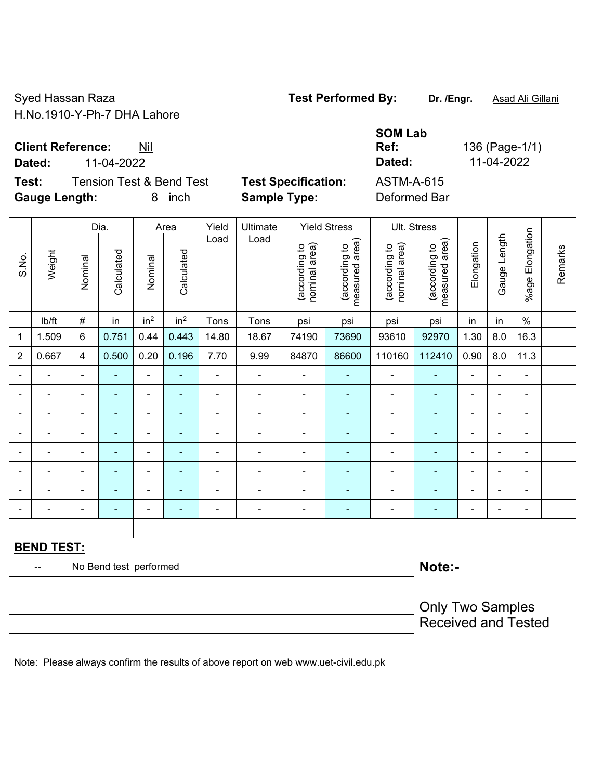Syed Hassan Raza **Test Performed By:** Dr. /Engr. **Asad Ali Gillani** Collection Association Collection Association H.No.1910-Y-Ph-7 DHA Lahore

**Client Reference:** Nil

**Test:** Tension Test & Bend Test **Test Specification:** ASTM-A-615 **Gauge Length:** 8 inch **Sample Type:** Deformed Bar

**SOM Lab Ref:** 136 (Page-1/1) **Dated:** 11-04-2022 **Dated:** 11-04-2022

|                |                   |                | Dia.                     |                 | Area            | Yield          | Ultimate                                                                            |                                | <b>Yield Stress</b>             |                                | Ult. Stress                     |                |                |                              |         |
|----------------|-------------------|----------------|--------------------------|-----------------|-----------------|----------------|-------------------------------------------------------------------------------------|--------------------------------|---------------------------------|--------------------------------|---------------------------------|----------------|----------------|------------------------------|---------|
| S.No.          | Weight            | Nominal        | Calculated               | Nominal         | Calculated      | Load           | Load                                                                                | nominal area)<br>(according to | (according to<br>measured area) | (according to<br>nominal area) | (according to<br>measured area) | Elongation     | Gauge Length   | Elongation<br>$%$ age        | Remarks |
|                | Ib/ft             | $\#$           | in                       | in <sup>2</sup> | in <sup>2</sup> | Tons           | Tons                                                                                | psi                            | psi                             | psi                            | psi                             | in             | in             | $\frac{0}{0}$                |         |
| 1              | 1.509             | 6              | 0.751                    | 0.44            | 0.443           | 14.80          | 18.67                                                                               | 74190                          | 73690                           | 93610                          | 92970                           | 1.30           | 8.0            | 16.3                         |         |
| $\overline{2}$ | 0.667             | $\overline{4}$ | 0.500                    | 0.20            | 0.196           | 7.70           | 9.99                                                                                | 84870                          | 86600                           | 110160                         | 112410                          | 0.90           | 8.0            | 11.3                         |         |
|                |                   | $\blacksquare$ |                          | $\blacksquare$  |                 | $\blacksquare$ | ä,                                                                                  | $\blacksquare$                 |                                 | $\blacksquare$                 |                                 |                | $\blacksquare$ | $\blacksquare$               |         |
|                |                   | $\blacksquare$ | $\blacksquare$           | $\blacksquare$  | $\blacksquare$  | $\blacksquare$ | $\blacksquare$                                                                      | $\blacksquare$                 | ÷                               | $\blacksquare$                 | ٠                               | $\blacksquare$ | $\blacksquare$ | $\qquad \qquad \blacksquare$ |         |
| $\blacksquare$ | $\blacksquare$    | $\blacksquare$ | $\blacksquare$           | $\blacksquare$  | $\blacksquare$  | $\blacksquare$ | $\overline{\phantom{a}}$                                                            | $\blacksquare$                 | ٠                               | $\blacksquare$                 | $\blacksquare$                  | $\blacksquare$ | $\blacksquare$ | $\blacksquare$               |         |
|                | $\blacksquare$    | $\blacksquare$ | $\blacksquare$           | $\blacksquare$  | ۰               | $\blacksquare$ | ä,                                                                                  | $\blacksquare$                 | $\blacksquare$                  | $\blacksquare$                 | ÷                               | ä,             | $\blacksquare$ | ÷,                           |         |
|                |                   | $\blacksquare$ | $\blacksquare$           | $\blacksquare$  | ۰               | $\blacksquare$ | ä,                                                                                  | $\blacksquare$                 |                                 | $\blacksquare$                 | ä,                              | $\blacksquare$ |                | ä,                           |         |
|                |                   | $\blacksquare$ |                          | $\blacksquare$  | ۰               | $\blacksquare$ | ÷                                                                                   | $\blacksquare$                 |                                 | $\blacksquare$                 | ÷                               |                |                | ÷                            |         |
|                |                   | $\blacksquare$ | $\blacksquare$           | $\blacksquare$  | ٠               | $\blacksquare$ | $\blacksquare$                                                                      | $\blacksquare$                 | $\blacksquare$                  | $\blacksquare$                 | ۰                               | $\blacksquare$ | $\blacksquare$ | ÷                            |         |
| $\blacksquare$ |                   |                | $\overline{\phantom{0}}$ | $\blacksquare$  | ۰               | $\blacksquare$ | $\blacksquare$                                                                      | $\blacksquare$                 | $\blacksquare$                  | $\blacksquare$                 | $\blacksquare$                  | $\blacksquare$ | $\blacksquare$ | ÷,                           |         |
|                |                   |                |                          |                 |                 |                |                                                                                     |                                |                                 |                                |                                 |                |                |                              |         |
|                | <b>BEND TEST:</b> |                |                          |                 |                 |                |                                                                                     |                                |                                 |                                |                                 |                |                |                              |         |
|                |                   |                | No Bend test performed   |                 |                 |                |                                                                                     |                                |                                 |                                | Note:-                          |                |                |                              |         |
|                |                   |                |                          |                 |                 |                |                                                                                     |                                |                                 |                                |                                 |                |                |                              |         |
|                |                   |                |                          |                 |                 |                |                                                                                     |                                |                                 |                                | <b>Only Two Samples</b>         |                |                |                              |         |
|                |                   |                |                          |                 |                 |                |                                                                                     |                                |                                 |                                | <b>Received and Tested</b>      |                |                |                              |         |
|                |                   |                |                          |                 |                 |                |                                                                                     |                                |                                 |                                |                                 |                |                |                              |         |
|                |                   |                |                          |                 |                 |                | Note: Please always confirm the results of above report on web www.uet-civil.edu.pk |                                |                                 |                                |                                 |                |                |                              |         |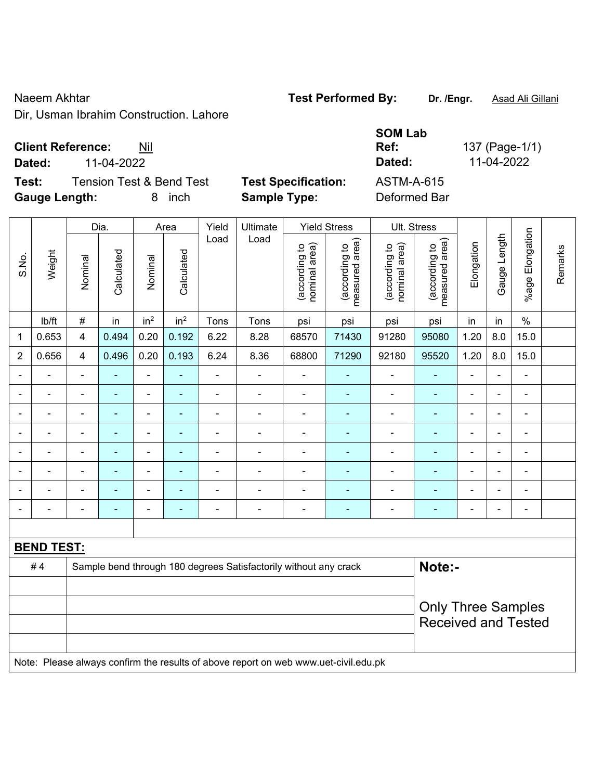#### Naeem Akhtar **Test Performed By:** Dr. /Engr. **Asad Ali Gillani** Calculani

Dir, Usman Ibrahim Construction. Lahore

### **Client Reference:** Nil

**Test:** Tension Test & Bend Test **Test Specification: Gauge Length:** 8 inch **Sample Type:** Deformed Bar

|        | <b>Client Reference:</b> | Nil                                 |                            | <b>SOM Lab</b><br>Ref: | 137 (Page-1/1) |
|--------|--------------------------|-------------------------------------|----------------------------|------------------------|----------------|
| Dated: | 11-04-2022               |                                     |                            | Dated:                 | 11-04-2022     |
| Test:  |                          | <b>Tension Test &amp; Bend Test</b> | <b>Test Specification:</b> | ASTM-A-615             |                |
|        | Gauge Length:            | 8 inch                              | Sample Type:               | Deformed Bar           |                |

|                |                   |                          | Dia.           |                          | Area            | Yield          | Ultimate                                                                            |                                | <b>Yield Stress</b>             |                                | Ult. Stress                     |                |                |                      |         |
|----------------|-------------------|--------------------------|----------------|--------------------------|-----------------|----------------|-------------------------------------------------------------------------------------|--------------------------------|---------------------------------|--------------------------------|---------------------------------|----------------|----------------|----------------------|---------|
| S.No.          | Weight            | Nominal                  | Calculated     | Nominal                  | Calculated      | Load           | Load                                                                                | nominal area)<br>(according to | measured area)<br>(according to | (according to<br>nominal area) | (according to<br>measured area) | Elongation     | Gauge Length   | Elongation<br>$%age$ | Remarks |
|                | Ib/ft             | #                        | in             | in <sup>2</sup>          | in <sup>2</sup> | Tons           | Tons                                                                                | psi                            | psi                             | psi                            | psi                             | in             | in             | $\%$                 |         |
| 1              | 0.653             | $\overline{4}$           | 0.494          | 0.20                     | 0.192           | 6.22           | 8.28                                                                                | 68570                          | 71430                           | 91280                          | 95080                           | 1.20           | 8.0            | 15.0                 |         |
| $\overline{2}$ | 0.656             | $\overline{4}$           | 0.496          | 0.20                     | 0.193           | 6.24           | 8.36                                                                                | 68800                          | 71290                           | 92180                          | 95520                           | 1.20           | $8.0\,$        | 15.0                 |         |
| $\blacksquare$ | ÷.                | $\blacksquare$           | ÷,             | $\blacksquare$           | $\blacksquare$  | $\blacksquare$ | $\blacksquare$                                                                      | $\blacksquare$                 | $\blacksquare$                  | ÷,                             | $\blacksquare$                  | $\blacksquare$ | $\blacksquare$ | $\blacksquare$       |         |
| $\blacksquare$ | ÷,                | $\blacksquare$           | ÷,             | $\blacksquare$           | $\blacksquare$  | $\blacksquare$ | $\frac{1}{2}$                                                                       | $\overline{\phantom{a}}$       | $\blacksquare$                  | $\qquad \qquad \blacksquare$   | $\blacksquare$                  | ä,             | $\blacksquare$ | $\blacksquare$       |         |
| $\blacksquare$ | $\blacksquare$    | $\blacksquare$           | ÷,             | $\blacksquare$           | $\blacksquare$  | $\blacksquare$ | $\blacksquare$                                                                      | $\blacksquare$                 | $\blacksquare$                  | $\blacksquare$                 | $\blacksquare$                  | $\blacksquare$ | $\blacksquare$ | $\blacksquare$       |         |
| $\blacksquare$ | ÷.                | $\blacksquare$           | $\blacksquare$ | $\blacksquare$           | ä,              | ä,             | ÷.                                                                                  | $\blacksquare$                 | ۰                               | $\blacksquare$                 | $\blacksquare$                  | ä,             | $\blacksquare$ | ÷,                   |         |
|                |                   | $\blacksquare$           | $\blacksquare$ |                          | $\blacksquare$  | $\blacksquare$ | ۰                                                                                   | $\blacksquare$                 | $\blacksquare$                  | ۰                              | $\blacksquare$                  | $\blacksquare$ |                | $\blacksquare$       |         |
| $\blacksquare$ | $\blacksquare$    | $\blacksquare$           | ٠              | $\blacksquare$           | ٠               | $\blacksquare$ | $\blacksquare$                                                                      | $\blacksquare$                 | ٠                               | $\blacksquare$                 | $\blacksquare$                  | $\blacksquare$ | $\blacksquare$ | $\blacksquare$       |         |
| $\blacksquare$ | ÷                 | $\blacksquare$           |                | $\overline{a}$           | ä,              |                | $\blacksquare$                                                                      | $\blacksquare$                 | ۰                               | $\blacksquare$                 | $\blacksquare$                  | $\blacksquare$ | $\blacksquare$ | $\blacksquare$       |         |
| $\blacksquare$ | $\blacksquare$    | $\overline{\phantom{a}}$ | $\blacksquare$ | $\overline{\phantom{a}}$ | ٠               | $\blacksquare$ | $\overline{a}$                                                                      | $\blacksquare$                 | ÷                               | $\overline{\phantom{a}}$       | $\blacksquare$                  | $\blacksquare$ | $\blacksquare$ | $\blacksquare$       |         |
|                |                   |                          |                |                          |                 |                |                                                                                     |                                |                                 |                                |                                 |                |                |                      |         |
|                | <b>BEND TEST:</b> |                          |                |                          |                 |                |                                                                                     |                                |                                 |                                |                                 |                |                |                      |         |
|                | #4                |                          |                |                          |                 |                | Sample bend through 180 degrees Satisfactorily without any crack                    |                                |                                 |                                | Note:-                          |                |                |                      |         |
|                |                   |                          |                |                          |                 |                |                                                                                     |                                |                                 |                                |                                 |                |                |                      |         |
|                |                   |                          |                |                          |                 |                |                                                                                     |                                |                                 |                                | <b>Only Three Samples</b>       |                |                |                      |         |
|                |                   |                          |                |                          |                 |                |                                                                                     |                                |                                 |                                | <b>Received and Tested</b>      |                |                |                      |         |
|                |                   |                          |                |                          |                 |                |                                                                                     |                                |                                 |                                |                                 |                |                |                      |         |
|                |                   |                          |                |                          |                 |                | Note: Please always confirm the results of above report on web www.uet-civil.edu.pk |                                |                                 |                                |                                 |                |                |                      |         |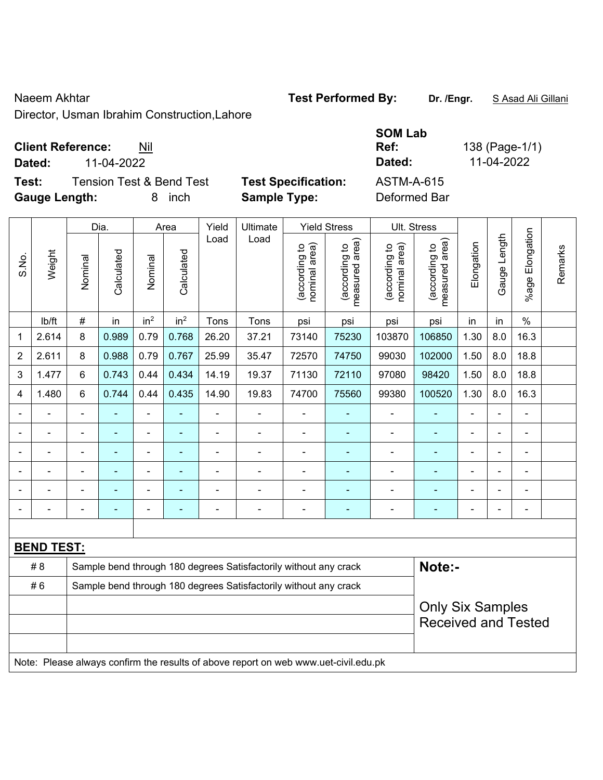#### Naeem Akhtar **Test Performed By:** Dr. /Engr. **SAsad Ali Gillani** Collection Act New York Research Assembly Dr. /Engr. **SAsad Ali Gillani**

Director, Usman Ibrahim Construction,Lahore

### **Client Reference:** Nil

**Test:** Tension Test & Bend Test Test Specification: Gauge Length: **8** inch **Sample Type:** 

|                      | <b>Client Reference:</b> | Nil                                 |                            | <b>SOM Lab</b><br>Ref: | 138 (Page-1/1) |
|----------------------|--------------------------|-------------------------------------|----------------------------|------------------------|----------------|
| Dated:               | 11-04-2022               |                                     |                            | Dated:                 | 11-04-2022     |
| Test:                |                          | <b>Tension Test &amp; Bend Test</b> | <b>Test Specification:</b> | ASTM-A-615             |                |
| <b>Gauge Length:</b> |                          | ınch                                | <b>Sample Type:</b>        | Deformed Bar           |                |

|                |                   |                | Dia.           |                 | Area            | Yield          | Ultimate                                                                            |                                | <b>Yield Stress</b>             |                                | Ult. Stress                                           |                |              |                          |         |
|----------------|-------------------|----------------|----------------|-----------------|-----------------|----------------|-------------------------------------------------------------------------------------|--------------------------------|---------------------------------|--------------------------------|-------------------------------------------------------|----------------|--------------|--------------------------|---------|
| S.No.          | Weight            | Nominal        | Calculated     | Nominal         | Calculated      | Load           | Load                                                                                | (according to<br>nominal area) | (according to<br>measured area) | (according to<br>nominal area) | (according to<br>measured area)                       | Elongation     | Gauge Length | Elongation<br>$%$ age    | Remarks |
|                | lb/ft             | $\#$           | in             | in <sup>2</sup> | in <sup>2</sup> | Tons           | Tons                                                                                | psi                            | psi                             | psi                            | psi                                                   | in             | in           | $\%$                     |         |
| 1              | 2.614             | 8              | 0.989          | 0.79            | 0.768           | 26.20          | 37.21                                                                               | 73140                          | 75230                           | 103870                         | 106850                                                | 1.30           | 8.0          | 16.3                     |         |
| $\overline{2}$ | 2.611             | 8              | 0.988          | 0.79            | 0.767           | 25.99          | 35.47                                                                               | 72570                          | 74750                           | 99030                          | 102000                                                | 1.50           | 8.0          | 18.8                     |         |
| 3              | 1.477             | 6              | 0.743          | 0.44            | 0.434           | 14.19          | 19.37                                                                               | 71130                          | 72110                           | 97080                          | 98420                                                 | 1.50           | 8.0          | 18.8                     |         |
| 4              | 1.480             | 6              | 0.744          | 0.44            | 0.435           | 14.90          | 19.83                                                                               | 74700                          | 75560                           | 99380                          | 100520                                                | 1.30           | 8.0          | 16.3                     |         |
|                |                   | ä,             | ÷,             | $\blacksquare$  |                 | $\blacksquare$ | $\blacksquare$                                                                      | $\blacksquare$                 |                                 | $\blacksquare$                 | $\blacksquare$                                        | ä,             |              | ÷,                       |         |
|                | ÷,                | ä,             | $\blacksquare$ | ÷               | Ξ               | $\blacksquare$ | ÷                                                                                   | $\blacksquare$                 | $\blacksquare$                  | $\blacksquare$                 | ÷                                                     | ä,             |              | ÷,                       |         |
|                |                   |                |                |                 |                 |                | $\blacksquare$                                                                      | $\blacksquare$                 | $\blacksquare$                  | $\blacksquare$                 | ۰                                                     | $\blacksquare$ |              | ä,                       |         |
|                |                   |                |                |                 |                 |                | $\blacksquare$                                                                      | $\blacksquare$                 |                                 | ä,                             | $\blacksquare$                                        |                |              | ä,                       |         |
|                |                   |                | $\blacksquare$ | ä,              |                 |                | $\blacksquare$                                                                      | $\blacksquare$                 | ä,                              | ä,                             | ۰                                                     | $\blacksquare$ |              | $\blacksquare$           |         |
|                |                   | $\blacksquare$ | ٠              | $\blacksquare$  |                 | $\blacksquare$ | $\blacksquare$                                                                      | $\blacksquare$                 | ٠                               | $\blacksquare$                 | $\blacksquare$                                        | $\blacksquare$ |              | $\overline{\phantom{a}}$ |         |
|                |                   |                |                |                 |                 |                |                                                                                     |                                |                                 |                                |                                                       |                |              |                          |         |
|                | <b>BEND TEST:</b> |                |                |                 |                 |                |                                                                                     |                                |                                 |                                |                                                       |                |              |                          |         |
|                | # 8               |                |                |                 |                 |                | Sample bend through 180 degrees Satisfactorily without any crack                    |                                |                                 |                                | Note:-                                                |                |              |                          |         |
|                | #6                |                |                |                 |                 |                | Sample bend through 180 degrees Satisfactorily without any crack                    |                                |                                 |                                |                                                       |                |              |                          |         |
|                |                   |                |                |                 |                 |                |                                                                                     |                                |                                 |                                | <b>Only Six Samples</b><br><b>Received and Tested</b> |                |              |                          |         |
|                |                   |                |                |                 |                 |                | Note: Please always confirm the results of above report on web www.uet-civil.edu.pk |                                |                                 |                                |                                                       |                |              |                          |         |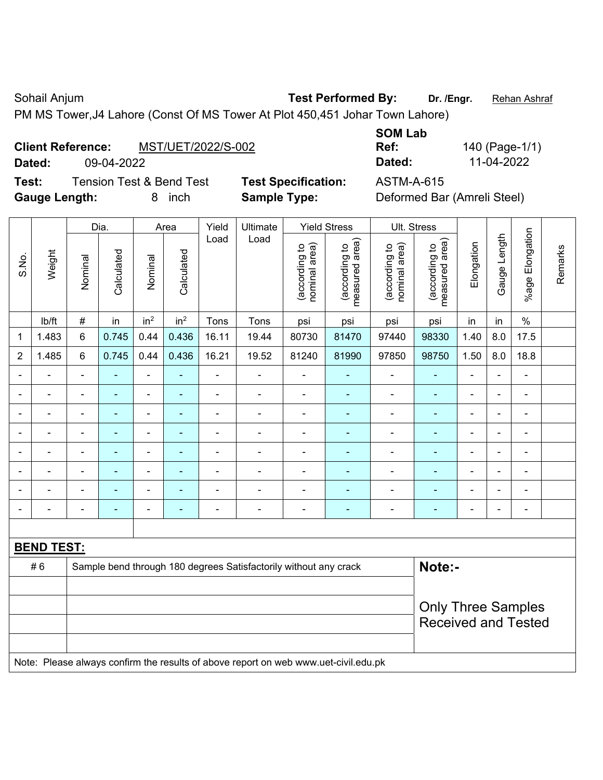Sohail Anjum **Test Performed By:** Dr. /Engr. **Rehan Ashraf** 

PM MS Tower,J4 Lahore (Const Of MS Tower At Plot 450,451 Johar Town Lahore)

### **Client Reference:** MST/UET/2022/S-002

**Test:** Tension Test & Bend Test **Test Specification:** ASTM-A-615 **Gauge Length:** 8 inch **Sample Type:** Deformed Bar (Amreli Steel)

|                          |                    | <b>SOM Lab</b> |              |
|--------------------------|--------------------|----------------|--------------|
| <b>Client Reference:</b> | MST/UET/2022/S-002 | Ref:           | 140 (Page-1/ |
| Dated:                   | 09-04-2022         | Dated:         | 11-04-2022   |
|                          |                    |                |              |

**Ref:** 140 (Page-1/1)

|                |                          |                                                                            | Dia.           |                 | Area            | Yield<br>Ultimate |                                                                                     | <b>Yield Stress</b>            |                                 |                                | Ult. Stress                                             |                |              |                 |         |
|----------------|--------------------------|----------------------------------------------------------------------------|----------------|-----------------|-----------------|-------------------|-------------------------------------------------------------------------------------|--------------------------------|---------------------------------|--------------------------------|---------------------------------------------------------|----------------|--------------|-----------------|---------|
| S.No.          | Weight                   | Nominal                                                                    | Calculated     | Nominal         | Calculated      | Load              | Load                                                                                | (according to<br>nominal area) | (according to<br>measured area) | (according to<br>nominal area) | (according to  <br>measured area)                       | Elongation     | Gauge Length | %age Elongation | Remarks |
|                | lb/ft                    | $\#$                                                                       | in             | in <sup>2</sup> | in <sup>2</sup> | Tons              | Tons                                                                                | psi                            | psi                             | psi                            | psi                                                     | in             | in           | $\%$            |         |
| 1              | 1.483                    | 6                                                                          | 0.745          | 0.44            | 0.436           | 16.11             | 19.44                                                                               | 80730                          | 81470                           | 97440                          | 98330                                                   | 1.40           | 8.0          | 17.5            |         |
| $\overline{2}$ | 1.485                    | 6                                                                          | 0.745          | 0.44            | 0.436           | 16.21             | 19.52                                                                               | 81240                          | 81990                           | 97850                          | 98750                                                   | 1.50           | 8.0          | 18.8            |         |
| $\blacksquare$ | $\blacksquare$           | $\blacksquare$                                                             | $\blacksquare$ | ä,              |                 | ä,                | ä,                                                                                  | $\blacksquare$                 | $\blacksquare$                  | $\blacksquare$                 | $\blacksquare$                                          | ä,             | ä,           | $\blacksquare$  |         |
| $\blacksquare$ | $\blacksquare$           | $\blacksquare$                                                             | ä,             | ÷,              |                 | $\blacksquare$    | ä,                                                                                  | $\blacksquare$                 | $\blacksquare$                  | $\blacksquare$                 | $\blacksquare$                                          | ä,             | ä,           | $\blacksquare$  |         |
|                | $\overline{\phantom{a}}$ | $\blacksquare$                                                             | $\blacksquare$ | ۰               |                 | $\blacksquare$    | ÷                                                                                   | $\blacksquare$                 | $\blacksquare$                  | $\blacksquare$                 | $\blacksquare$                                          | $\blacksquare$ | ÷            | $\blacksquare$  |         |
|                | $\blacksquare$           | $\blacksquare$                                                             | $\blacksquare$ | ÷,              |                 | $\blacksquare$    | ä,                                                                                  | ÷,                             | ٠                               | $\blacksquare$                 | $\blacksquare$                                          | $\blacksquare$ | i.           | $\blacksquare$  |         |
|                | ä,                       |                                                                            | ÷              | $\blacksquare$  |                 |                   | ä,                                                                                  | ä,                             | ٠                               | $\blacksquare$                 | ÷,                                                      |                |              | $\blacksquare$  |         |
|                | ä,                       |                                                                            |                | $\blacksquare$  |                 | $\blacksquare$    | $\blacksquare$                                                                      | $\blacksquare$                 | $\blacksquare$                  | $\blacksquare$                 |                                                         |                |              | L,              |         |
|                | $\blacksquare$           |                                                                            | ۰              | ÷               |                 |                   | $\blacksquare$                                                                      | $\blacksquare$                 | $\blacksquare$                  | $\blacksquare$                 | ۰                                                       |                |              | $\blacksquare$  |         |
| $\blacksquare$ |                          | $\blacksquare$                                                             | ۰              | ÷,              |                 | $\blacksquare$    | ÷                                                                                   | $\overline{\phantom{a}}$       | ٠                               | $\blacksquare$                 | $\blacksquare$                                          | $\blacksquare$ | ä,           | ÷,              |         |
|                |                          |                                                                            |                |                 |                 |                   |                                                                                     |                                |                                 |                                |                                                         |                |              |                 |         |
|                | <b>BEND TEST:</b>        |                                                                            |                |                 |                 |                   |                                                                                     |                                |                                 |                                |                                                         |                |              |                 |         |
|                | #6                       | Note:-<br>Sample bend through 180 degrees Satisfactorily without any crack |                |                 |                 |                   |                                                                                     |                                |                                 |                                |                                                         |                |              |                 |         |
|                |                          |                                                                            |                |                 |                 |                   |                                                                                     |                                |                                 |                                |                                                         |                |              |                 |         |
|                |                          |                                                                            |                |                 |                 |                   |                                                                                     |                                |                                 |                                | <b>Only Three Samples</b><br><b>Received and Tested</b> |                |              |                 |         |
|                |                          |                                                                            |                |                 |                 |                   |                                                                                     |                                |                                 |                                |                                                         |                |              |                 |         |
|                |                          |                                                                            |                |                 |                 |                   | Note: Please always confirm the results of above report on web www.uet-civil.edu.pk |                                |                                 |                                |                                                         |                |              |                 |         |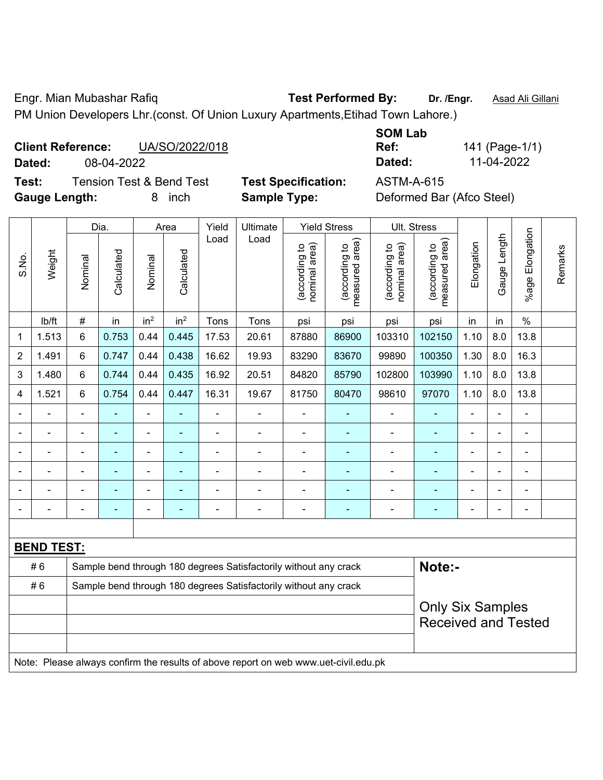Engr. Mian Mubashar Rafiq **Test Performed By: Dr. /Engr.** Asad Ali Gillani PM Union Developers Lhr.(const. Of Union Luxury Apartments,Etihad Town Lahore.)

#### **Client Reference:** UA/SO/2022/018 **Dated:** 08-04-2022 **Dated:** 11-04-2022

**Test:** Tension Test & Bend Test **Test Specification:** ASTM-A-615 **Gauge Length:** 8 inch **Sample Type:** Deformed Bar (Afco Steel)

|        | Ref:        |
|--------|-------------|
|        | Dated:      |
| ation: | 8 A R T N A |

**Ref:** 141 (Page-1/1)

|                |                   |                | Dia.                                                                       |                 | Area            | Yield<br>Ultimate |                                                                                     | <b>Yield Stress</b>           |                                 |                                | Ult. Stress                     |                |              |                          |         |
|----------------|-------------------|----------------|----------------------------------------------------------------------------|-----------------|-----------------|-------------------|-------------------------------------------------------------------------------------|-------------------------------|---------------------------------|--------------------------------|---------------------------------|----------------|--------------|--------------------------|---------|
| S.No.          | Weight            | Nominal        | Calculated                                                                 | Nominal         | Calculated      | Load              | Load                                                                                | nominal area)<br>according to | (according to<br>measured area) | nominal area)<br>(according to | (according to<br>measured area) | Elongation     | Gauge Length | %age Elongation          | Remarks |
|                | lb/ft             | #              | in                                                                         | in <sup>2</sup> | in <sup>2</sup> | Tons              | Tons                                                                                | psi                           | psi                             | psi                            | psi                             | in             | in           | $\frac{0}{0}$            |         |
| 1              | 1.513             | 6              | 0.753                                                                      | 0.44            | 0.445           | 17.53             | 20.61                                                                               | 87880                         | 86900                           | 103310                         | 102150                          | 1.10           | 8.0          | 13.8                     |         |
| $\overline{2}$ | 1.491             | 6              | 0.747                                                                      | 0.44            | 0.438           | 16.62             | 19.93                                                                               | 83290                         | 83670                           | 99890                          | 100350                          | 1.30           | 8.0          | 16.3                     |         |
| 3              | 1.480             | 6              | 0.744                                                                      | 0.44            | 0.435           | 16.92             | 20.51                                                                               | 84820                         | 85790                           | 102800                         | 103990                          | 1.10           | 8.0          | 13.8                     |         |
| 4              | 1.521             | 6              | 0.754                                                                      | 0.44            | 0.447           | 16.31             | 19.67                                                                               | 81750                         | 80470                           | 98610                          | 97070                           | 1.10           | 8.0          | 13.8                     |         |
|                |                   |                |                                                                            |                 |                 |                   |                                                                                     | $\blacksquare$                |                                 |                                |                                 | $\blacksquare$ |              | ä,                       |         |
|                |                   | ä,             | ÷,                                                                         | $\blacksquare$  |                 |                   | Ē,                                                                                  | $\blacksquare$                |                                 | $\blacksquare$                 |                                 | ä,             | ÷,           | ۰                        |         |
|                | ÷                 | $\blacksquare$ | $\blacksquare$                                                             | $\blacksquare$  | $\blacksquare$  | $\blacksquare$    | $\blacksquare$                                                                      | $\blacksquare$                | ÷                               | ÷                              | $\blacksquare$                  | $\blacksquare$ | i.           | $\overline{\phantom{0}}$ |         |
|                | $\blacksquare$    | -              | ä,                                                                         | $\overline{a}$  | $\blacksquare$  | $\blacksquare$    | ä,                                                                                  | $\blacksquare$                |                                 | ÷                              | $\blacksquare$                  | $\blacksquare$ |              | $\blacksquare$           |         |
|                |                   |                |                                                                            |                 |                 |                   | ä,                                                                                  | $\blacksquare$                |                                 | $\blacksquare$                 |                                 |                |              | $\blacksquare$           |         |
|                |                   |                |                                                                            |                 |                 |                   |                                                                                     |                               |                                 |                                |                                 |                |              | ÷,                       |         |
|                |                   |                |                                                                            |                 |                 |                   |                                                                                     |                               |                                 |                                |                                 |                |              |                          |         |
|                | <b>BEND TEST:</b> |                |                                                                            |                 |                 |                   |                                                                                     |                               |                                 |                                |                                 |                |              |                          |         |
|                | #6                |                | Note:-<br>Sample bend through 180 degrees Satisfactorily without any crack |                 |                 |                   |                                                                                     |                               |                                 |                                |                                 |                |              |                          |         |
|                | #6                |                | Sample bend through 180 degrees Satisfactorily without any crack           |                 |                 |                   |                                                                                     |                               |                                 |                                |                                 |                |              |                          |         |
|                |                   |                |                                                                            |                 |                 |                   |                                                                                     |                               |                                 |                                | <b>Only Six Samples</b>         |                |              |                          |         |
|                |                   |                |                                                                            |                 |                 |                   |                                                                                     |                               |                                 |                                | <b>Received and Tested</b>      |                |              |                          |         |
|                |                   |                |                                                                            |                 |                 |                   | Note: Please always confirm the results of above report on web www.uet-civil.edu.pk |                               |                                 |                                |                                 |                |              |                          |         |

**SOM Lab**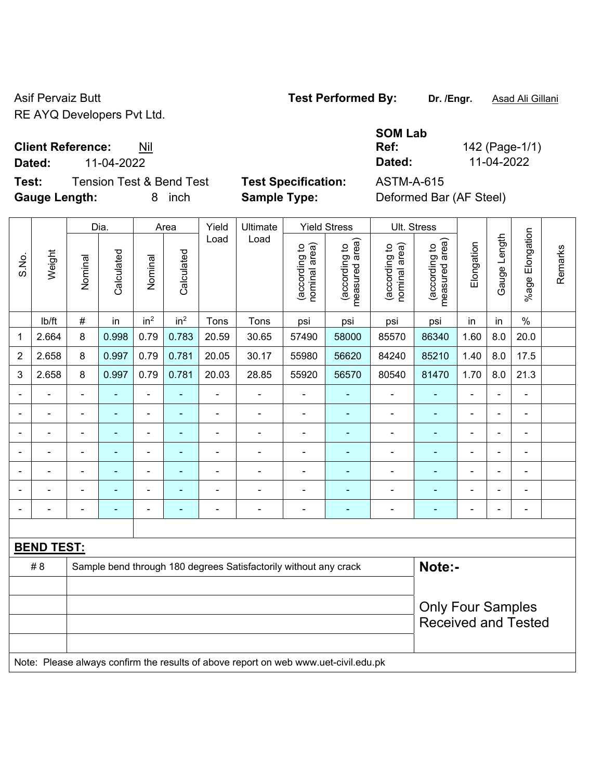Asif Pervaiz Butt **Test Performed By:** Dr. /Engr. **Asad Ali Gillani** Asif Pervaiz Butt RE AYQ Developers Pvt Ltd.

**Client Reference:** Nil

**Test:** Tension Test & Bend Test **Test Specification:** ASTM-A-615 **Gauge Length:** 8 inch **Sample Type:** Deformed Bar (AF Steel)

**SOM Lab Ref:** 142 (Page-1/1) **Dated:** 11-04-2022 **Dated:** 11-04-2022

|                |                                                                                     | Dia.<br>Area   |                | Yield<br>Ultimate        |                          | <b>Yield Stress</b>      | Ult. Stress                                                      |                                |                                 |                                |                                 |                              |                |                          |         |
|----------------|-------------------------------------------------------------------------------------|----------------|----------------|--------------------------|--------------------------|--------------------------|------------------------------------------------------------------|--------------------------------|---------------------------------|--------------------------------|---------------------------------|------------------------------|----------------|--------------------------|---------|
| S.No.          | Weight                                                                              | Nominal        | Calculated     | Nominal                  | Calculated               | Load                     | Load                                                             | nominal area)<br>(according to | (according to<br>measured area) | nominal area)<br>(according to | (according to<br>measured area) | Elongation                   | Gauge Length   | Elongation<br>$%$ age    | Remarks |
|                | lb/ft                                                                               | $\#$           | in             | in <sup>2</sup>          | in <sup>2</sup>          | Tons                     | Tons                                                             | psi                            | psi                             | psi                            | psi                             | in                           | in             | $\%$                     |         |
| 1              | 2.664                                                                               | 8              | 0.998          | 0.79                     | 0.783                    | 20.59                    | 30.65                                                            | 57490                          | 58000                           | 85570                          | 86340                           | 1.60                         | 8.0            | 20.0                     |         |
| $\overline{2}$ | 2.658                                                                               | 8              | 0.997          | 0.79                     | 0.781                    | 20.05                    | 30.17                                                            | 55980                          | 56620                           | 84240                          | 85210                           | 1.40                         | 8.0            | 17.5                     |         |
| 3              | 2.658                                                                               | 8              | 0.997          | 0.79                     | 0.781                    | 20.03                    | 28.85                                                            | 55920                          | 56570                           | 80540                          | 81470                           | 1.70                         | 8.0            | 21.3                     |         |
|                |                                                                                     |                |                | $\blacksquare$           |                          |                          |                                                                  |                                |                                 | $\blacksquare$                 |                                 |                              |                |                          |         |
|                |                                                                                     | $\blacksquare$ |                | $\blacksquare$           |                          |                          | $\overline{a}$                                                   | $\blacksquare$                 |                                 | $\blacksquare$                 |                                 |                              |                | $\blacksquare$           |         |
|                |                                                                                     | $\blacksquare$ |                | ۰                        |                          |                          | $\overline{a}$                                                   | $\blacksquare$                 | $\blacksquare$                  | $\blacksquare$                 |                                 | $\blacksquare$               | $\blacksquare$ | ۰                        |         |
|                | $\blacksquare$                                                                      | $\blacksquare$ | ٠              | $\overline{\phantom{0}}$ | $\overline{\phantom{0}}$ | $\overline{\phantom{0}}$ |                                                                  | $\overline{\phantom{a}}$       | ٠                               | $\blacksquare$                 | $\blacksquare$                  | $\qquad \qquad \blacksquare$ | $\blacksquare$ | $\overline{\phantom{0}}$ |         |
|                |                                                                                     | $\blacksquare$ | $\blacksquare$ | $\overline{\phantom{0}}$ | ٠                        | $\blacksquare$           | $\overline{a}$                                                   | ä,                             | ٠                               | $\blacksquare$                 | $\blacksquare$                  | $\blacksquare$               |                | $\overline{\phantom{0}}$ |         |
|                |                                                                                     |                |                | $\blacksquare$           |                          |                          | $\blacksquare$                                                   | $\blacksquare$                 | $\blacksquare$                  | $\blacksquare$                 | $\blacksquare$                  | $\blacksquare$               |                | ÷                        |         |
|                | $\blacksquare$                                                                      | $\blacksquare$ |                | ä,                       | ٠                        | ÷                        | ÷,                                                               | $\overline{\phantom{a}}$       | ۰                               | $\blacksquare$                 | Ē,                              | $\blacksquare$               | $\blacksquare$ | $\overline{\phantom{0}}$ |         |
|                |                                                                                     |                |                |                          |                          |                          |                                                                  |                                |                                 |                                |                                 |                              |                |                          |         |
|                | <b>BEND TEST:</b>                                                                   |                |                |                          |                          |                          |                                                                  |                                |                                 |                                |                                 |                              |                |                          |         |
|                | # 8                                                                                 |                |                |                          |                          |                          | Sample bend through 180 degrees Satisfactorily without any crack |                                |                                 |                                | Note:-                          |                              |                |                          |         |
|                |                                                                                     |                |                |                          |                          |                          |                                                                  |                                |                                 |                                |                                 |                              |                |                          |         |
|                |                                                                                     |                |                |                          |                          |                          |                                                                  |                                |                                 |                                | <b>Only Four Samples</b>        |                              |                |                          |         |
|                |                                                                                     |                |                |                          |                          |                          |                                                                  |                                |                                 |                                | <b>Received and Tested</b>      |                              |                |                          |         |
|                | Note: Please always confirm the results of above report on web www.uet-civil.edu.pk |                |                |                          |                          |                          |                                                                  |                                |                                 |                                |                                 |                              |                |                          |         |
|                |                                                                                     |                |                |                          |                          |                          |                                                                  |                                |                                 |                                |                                 |                              |                |                          |         |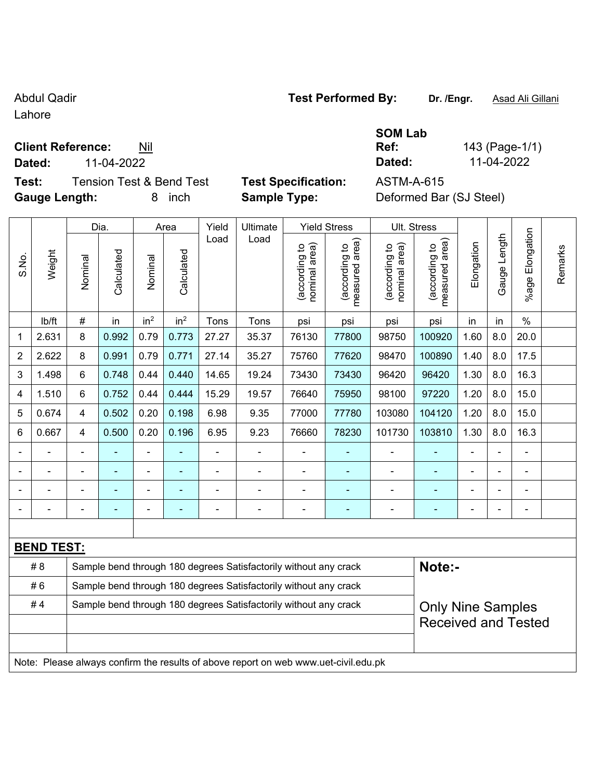Lahore

#### **Client Reference:** Nil

**Test:** Tension Test & Bend Test **Test Specification:** ASTM-A-615 **Gauge Length:** 8 inch **Sample Type:** Deformed Bar (SJ Steel)

|  | Test Performed By: |  |
|--|--------------------|--|
|  |                    |  |

**SOM Lab Ref:** 143 (Page-1/1) **Dated:** 11-04-2022 **Dated:** 11-04-2022

|       |                                                                                     |                                                                  | Dia.       |                          | Area            | Yield<br>Ultimate |                                                                  | <b>Yield Stress</b>            |                                 | Ult. Stress                    |                                             |                |                |                       |         |
|-------|-------------------------------------------------------------------------------------|------------------------------------------------------------------|------------|--------------------------|-----------------|-------------------|------------------------------------------------------------------|--------------------------------|---------------------------------|--------------------------------|---------------------------------------------|----------------|----------------|-----------------------|---------|
| S.No. | Weight                                                                              | Nominal                                                          | Calculated | Nominal                  | Calculated      | Load              | Load                                                             | nominal area)<br>(according to | measured area)<br>(according to | (according to<br>nominal area) | (according to<br>neasured area)<br>measured | Elongation     | Gauge Length   | Elongation<br>$%$ age | Remarks |
|       | lb/ft                                                                               | $\#$                                                             | in         | in <sup>2</sup>          | in <sup>2</sup> | Tons              | Tons                                                             | psi                            | psi                             | psi                            | psi                                         | in             | in             | $\%$                  |         |
| 1     | 2.631                                                                               | 8                                                                | 0.992      | 0.79                     | 0.773           | 27.27             | 35.37                                                            | 76130                          | 77800                           | 98750                          | 100920                                      | 1.60           | 8.0            | 20.0                  |         |
| 2     | 2.622                                                                               | 8                                                                | 0.991      | 0.79                     | 0.771           | 27.14             | 35.27                                                            | 75760                          | 77620                           | 98470                          | 100890                                      | 1.40           | 8.0            | 17.5                  |         |
| 3     | 1.498                                                                               | 6                                                                | 0.748      | 0.44                     | 0.440           | 14.65             | 19.24                                                            | 73430                          | 73430                           | 96420                          | 96420                                       | 1.30           | 8.0            | 16.3                  |         |
| 4     | 1.510                                                                               | $6\phantom{1}$                                                   | 0.752      | 0.44                     | 0.444           | 15.29             | 19.57                                                            | 76640                          | 75950                           | 98100                          | 97220                                       | 1.20           | 8.0            | 15.0                  |         |
| 5     | 0.674                                                                               | $\overline{4}$                                                   | 0.502      | 0.20                     | 0.198           | 6.98              | 9.35                                                             | 77000                          | 77780                           | 103080                         | 104120                                      | 1.20           | 8.0            | 15.0                  |         |
| 6     | 0.667                                                                               | 4                                                                | 0.500      | 0.20                     | 0.196           | 6.95              | 9.23                                                             | 76660                          | 78230                           | 101730                         | 103810                                      | 1.30           | 8.0            | 16.3                  |         |
|       |                                                                                     |                                                                  |            | ÷,                       |                 |                   | $\blacksquare$                                                   |                                |                                 | $\blacksquare$                 |                                             |                |                | $\blacksquare$        |         |
|       | ÷                                                                                   | $\blacksquare$                                                   | ÷          | $\overline{\phantom{a}}$ |                 | $\blacksquare$    | $\overline{a}$                                                   | $\blacksquare$                 | ÷                               | $\blacksquare$                 | $\blacksquare$                              | $\blacksquare$ | $\blacksquare$ | $\blacksquare$        |         |
|       |                                                                                     |                                                                  | ÷          | -                        |                 |                   | $\blacksquare$                                                   | $\overline{a}$                 | ÷                               | $\blacksquare$                 | $\blacksquare$                              | $\blacksquare$ |                | ÷,                    |         |
|       |                                                                                     |                                                                  |            | ÷                        |                 |                   | $\blacksquare$                                                   | $\blacksquare$                 |                                 | ä,                             | L,                                          |                |                | $\blacksquare$        |         |
|       |                                                                                     |                                                                  |            |                          |                 |                   |                                                                  |                                |                                 |                                |                                             |                |                |                       |         |
|       | <b>BEND TEST:</b>                                                                   |                                                                  |            |                          |                 |                   |                                                                  |                                |                                 |                                |                                             |                |                |                       |         |
|       | # 8                                                                                 |                                                                  |            |                          |                 |                   | Sample bend through 180 degrees Satisfactorily without any crack |                                |                                 |                                | Note:-                                      |                |                |                       |         |
|       | #6                                                                                  | Sample bend through 180 degrees Satisfactorily without any crack |            |                          |                 |                   |                                                                  |                                |                                 |                                |                                             |                |                |                       |         |
|       | #4                                                                                  |                                                                  |            |                          |                 |                   | Sample bend through 180 degrees Satisfactorily without any crack |                                |                                 |                                | <b>Only Nine Samples</b>                    |                |                |                       |         |
|       |                                                                                     |                                                                  |            |                          |                 |                   |                                                                  |                                |                                 |                                | <b>Received and Tested</b>                  |                |                |                       |         |
|       |                                                                                     |                                                                  |            |                          |                 |                   |                                                                  |                                |                                 |                                |                                             |                |                |                       |         |
|       | Note: Please always confirm the results of above report on web www.uet-civil.edu.pk |                                                                  |            |                          |                 |                   |                                                                  |                                |                                 |                                |                                             |                |                |                       |         |

## Abdul Qadir **Test Performed By:** Dr. /Engr. **Asad Ali Gillani** Abdul Qadir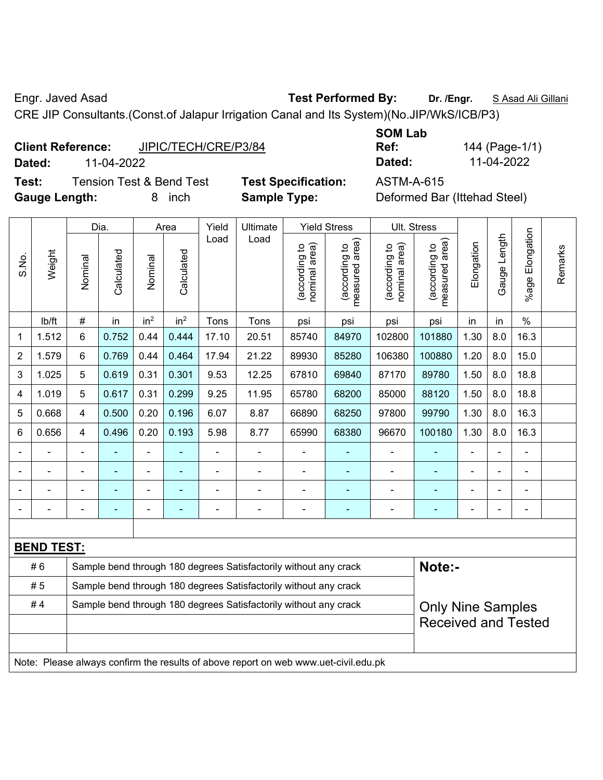Engr. Javed Asad **Test Performed By:** Dr. /Engr. **SAsad Ali Gillani** Collection Association Collection Association

CRE JIP Consultants.(Const.of Jalapur Irrigation Canal and Its System)(No.JIP/WkS/ICB/P3)

|                          |                      | ------- |              |
|--------------------------|----------------------|---------|--------------|
| <b>Client Reference:</b> | JIPIC/TECH/CRE/P3/84 | Ref:    | 144 (Page-1/ |
| Dated:                   | 11-04-2022           | Dated:  | 11-04-2022   |

**Test:** Tension Test & Bend Test **Test Specification:** ASTM-A-615 Gauge Length: **8** inch **Sample Type:** I

**SOM Lab Ref:** 144 (Page-1/1)

| Deformed Bar (Ittehad Steel) |  |
|------------------------------|--|
|------------------------------|--|

|                |                                                                                     |                                                                  | Dia.       |                 | Area            | Yield | Ultimate                                                         |                                | <b>Yield Stress</b>                |                                | Ult. Stress                     |                |              |                       |         |
|----------------|-------------------------------------------------------------------------------------|------------------------------------------------------------------|------------|-----------------|-----------------|-------|------------------------------------------------------------------|--------------------------------|------------------------------------|--------------------------------|---------------------------------|----------------|--------------|-----------------------|---------|
| S.No.          | Weight                                                                              | Nominal                                                          | Calculated | Nominal         | Calculated      | Load  | Load                                                             | nominal area)<br>(according to | area)<br>(according to<br>measured | nominal area)<br>(according to | measured area)<br>(according to | Elongation     | Gauge Length | Elongation<br>$%$ age | Remarks |
|                | lb/ft                                                                               | $\#$                                                             | in         | in <sup>2</sup> | in <sup>2</sup> | Tons  | Tons                                                             | psi                            | psi                                | psi                            | psi                             | in             | in           | $\%$                  |         |
| 1              | 1.512                                                                               | $6\phantom{a}$                                                   | 0.752      | 0.44            | 0.444           | 17.10 | 20.51                                                            | 85740                          | 84970                              | 102800                         | 101880                          | 1.30           | 8.0          | 16.3                  |         |
| $\overline{2}$ | 1.579                                                                               | 6                                                                | 0.769      | 0.44            | 0.464           | 17.94 | 21.22                                                            | 89930                          | 85280                              | 106380                         | 100880                          | 1.20           | 8.0          | 15.0                  |         |
| 3              | 1.025                                                                               | 5                                                                | 0.619      | 0.31            | 0.301           | 9.53  | 12.25                                                            | 67810                          | 69840                              | 87170                          | 89780                           | 1.50           | 8.0          | 18.8                  |         |
| 4              | 1.019                                                                               | 5                                                                | 0.617      | 0.31            | 0.299           | 9.25  | 11.95                                                            | 65780                          | 68200                              | 85000                          | 88120                           | 1.50           | 8.0          | 18.8                  |         |
| 5              | 0.668                                                                               | $\overline{\mathbf{4}}$                                          | 0.500      | 0.20            | 0.196           | 6.07  | 8.87                                                             | 66890                          | 68250                              | 97800                          | 99790                           | 1.30           | 8.0          | 16.3                  |         |
| 6              | 0.656                                                                               | $\overline{4}$                                                   | 0.496      | 0.20            | 0.193           | 5.98  | 8.77                                                             | 65990                          | 68380                              | 96670                          | 100180                          | 1.30           | 8.0          | 16.3                  |         |
|                |                                                                                     |                                                                  |            | ÷               |                 |       |                                                                  |                                |                                    | ä,                             | ۰                               |                |              | $\blacksquare$        |         |
|                |                                                                                     |                                                                  |            |                 |                 |       |                                                                  |                                |                                    |                                |                                 |                |              |                       |         |
|                |                                                                                     |                                                                  |            | ۰               |                 |       | $\blacksquare$                                                   |                                |                                    | $\blacksquare$                 | ۰                               |                |              | $\blacksquare$        |         |
|                |                                                                                     |                                                                  |            | ÷               | ۰               | ä,    | $\blacksquare$                                                   | Ē,                             | ٠                                  |                                | ۰                               | $\blacksquare$ |              | ÷                     |         |
|                |                                                                                     |                                                                  |            |                 |                 |       |                                                                  |                                |                                    |                                |                                 |                |              |                       |         |
|                | <b>BEND TEST:</b>                                                                   |                                                                  |            |                 |                 |       |                                                                  |                                |                                    |                                |                                 |                |              |                       |         |
|                | #6                                                                                  |                                                                  |            |                 |                 |       | Sample bend through 180 degrees Satisfactorily without any crack |                                |                                    |                                | Note:-                          |                |              |                       |         |
|                | #5                                                                                  | Sample bend through 180 degrees Satisfactorily without any crack |            |                 |                 |       |                                                                  |                                |                                    |                                |                                 |                |              |                       |         |
|                | #4                                                                                  |                                                                  |            |                 |                 |       | Sample bend through 180 degrees Satisfactorily without any crack |                                |                                    |                                | <b>Only Nine Samples</b>        |                |              |                       |         |
|                |                                                                                     |                                                                  |            |                 |                 |       |                                                                  |                                |                                    |                                | <b>Received and Tested</b>      |                |              |                       |         |
|                |                                                                                     |                                                                  |            |                 |                 |       |                                                                  |                                |                                    |                                |                                 |                |              |                       |         |
|                | Note: Please always confirm the results of above report on web www.uet-civil.edu.pk |                                                                  |            |                 |                 |       |                                                                  |                                |                                    |                                |                                 |                |              |                       |         |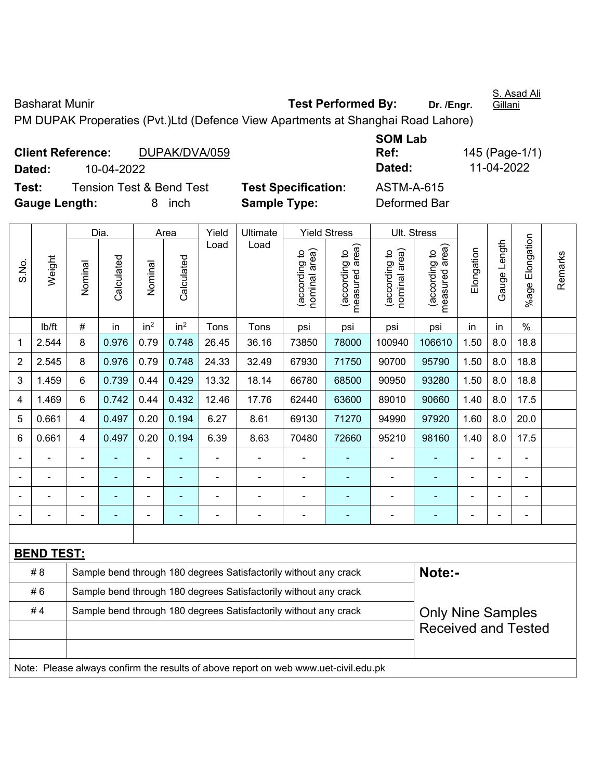Basharat Munir **Test Performed By:** Dr. /Engr.

S. Asad Ali Gillani

PM DUPAK Properaties (Pvt.)Ltd (Defence View Apartments at Shanghai Road Lahore)

| <b>Client Reference:</b> |                                     |   | DUPAK/DVA/059 |                            | Ref:              |
|--------------------------|-------------------------------------|---|---------------|----------------------------|-------------------|
| Dated:                   | 10-04-2022                          |   |               |                            | Dated:            |
| Test:                    | <b>Tension Test &amp; Bend Test</b> |   |               | <b>Test Specification:</b> | <b>ASTM-A-615</b> |
| <b>Gauge Length:</b>     |                                     | 8 | inch          | <b>Sample Type:</b>        | Deformed Bar      |

**SOM Lab Ref:** 145 (Page-1/1) **Dated:** 10-04-2022 **Dated:** 11-04-2022

|                |                                                                                     |                                                                            | Dia.       |                 | Area            | Yield | Ultimate                                                         |                                | <b>Yield Stress</b>             |                                | Ult. Stress                     |            |              |                 |         |
|----------------|-------------------------------------------------------------------------------------|----------------------------------------------------------------------------|------------|-----------------|-----------------|-------|------------------------------------------------------------------|--------------------------------|---------------------------------|--------------------------------|---------------------------------|------------|--------------|-----------------|---------|
| S.No.          | Weight                                                                              | Nominal                                                                    | Calculated | Nominal         | Calculated      | Load  | Load                                                             | nominal area)<br>(according to | measured area)<br>(according to | nominal area)<br>(according to | measured area)<br>(according to | Elongation | Gauge Length | %age Elongation | Remarks |
|                | Ib/ft                                                                               | #                                                                          | in         | in <sup>2</sup> | in <sup>2</sup> | Tons  | Tons                                                             | psi                            | psi                             | psi                            | psi                             | in         | in           | $\%$            |         |
| 1              | 2.544                                                                               | 8                                                                          | 0.976      | 0.79            | 0.748           | 26.45 | 36.16                                                            | 73850                          | 78000                           | 100940                         | 106610                          | 1.50       | 8.0          | 18.8            |         |
| $\overline{2}$ | 2.545                                                                               | 8                                                                          | 0.976      | 0.79            | 0.748           | 24.33 | 32.49                                                            | 67930                          | 71750                           | 90700                          | 95790                           | 1.50       | 8.0          | 18.8            |         |
| 3              | 1.459                                                                               | 6                                                                          | 0.739      | 0.44            | 0.429           | 13.32 | 18.14                                                            | 66780                          | 68500                           | 90950                          | 93280                           | 1.50       | 8.0          | 18.8            |         |
| 4              | 1.469                                                                               | 6                                                                          | 0.742      | 0.44            | 0.432           | 12.46 | 17.76                                                            | 62440                          | 63600                           | 89010                          | 90660                           | 1.40       | 8.0          | 17.5            |         |
| 5              | 0.661                                                                               | $\overline{4}$                                                             | 0.497      | 0.20            | 0.194           | 6.27  | 8.61                                                             | 69130                          | 71270                           | 94990                          | 97920                           | 1.60       | 8.0          | 20.0            |         |
| 6              | 0.661                                                                               | 4                                                                          | 0.497      | 0.20            | 0.194           | 6.39  | 8.63                                                             | 70480                          | 72660                           | 95210                          | 98160                           | 1.40       | 8.0          | 17.5            |         |
|                |                                                                                     |                                                                            |            |                 |                 |       |                                                                  |                                |                                 |                                |                                 |            |              |                 |         |
|                |                                                                                     |                                                                            |            |                 |                 |       | Ē,                                                               |                                |                                 |                                |                                 |            |              |                 |         |
|                | L.                                                                                  |                                                                            |            | ÷               |                 |       |                                                                  | ä,                             |                                 |                                |                                 |            |              |                 |         |
|                |                                                                                     |                                                                            | ۰          | ÷               |                 |       | Ē,                                                               | $\overline{a}$                 | ۰                               | ٠                              | ۰                               |            |              | $\blacksquare$  |         |
|                |                                                                                     |                                                                            |            |                 |                 |       |                                                                  |                                |                                 |                                |                                 |            |              |                 |         |
|                | <b>BEND TEST:</b>                                                                   |                                                                            |            |                 |                 |       |                                                                  |                                |                                 |                                |                                 |            |              |                 |         |
|                | # 8                                                                                 | Note:-<br>Sample bend through 180 degrees Satisfactorily without any crack |            |                 |                 |       |                                                                  |                                |                                 |                                |                                 |            |              |                 |         |
|                | #6                                                                                  | Sample bend through 180 degrees Satisfactorily without any crack           |            |                 |                 |       |                                                                  |                                |                                 |                                |                                 |            |              |                 |         |
|                | #4                                                                                  |                                                                            |            |                 |                 |       | Sample bend through 180 degrees Satisfactorily without any crack |                                |                                 |                                | <b>Only Nine Samples</b>        |            |              |                 |         |
|                |                                                                                     |                                                                            |            |                 |                 |       |                                                                  |                                |                                 |                                | <b>Received and Tested</b>      |            |              |                 |         |
|                |                                                                                     |                                                                            |            |                 |                 |       |                                                                  |                                |                                 |                                |                                 |            |              |                 |         |
|                | Note: Please always confirm the results of above report on web www.uet-civil.edu.pk |                                                                            |            |                 |                 |       |                                                                  |                                |                                 |                                |                                 |            |              |                 |         |